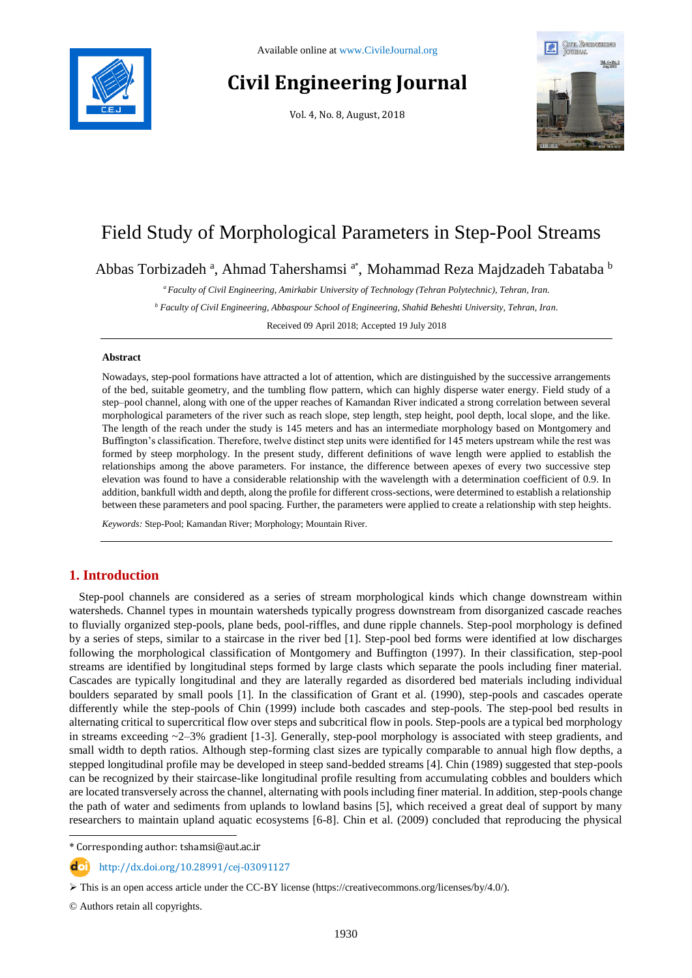

# **Civil Engineering Journal**

Vol. 4, No. 8, August, 2018



## Field Study of Morphological Parameters in Step-Pool Streams

Abbas Torbizadeh <sup>a</sup>, Ahmad Tahershamsi <sup>a\*</sup>, Mohammad Reza Majdzadeh Tabataba <sup>b</sup>

*<sup>a</sup> Faculty of Civil Engineering, Amirkabir University of Technology (Tehran Polytechnic), Tehran, Iran.*

*<sup>b</sup> Faculty of Civil Engineering, Abbaspour School of Engineering, Shahid Beheshti University, Tehran, Iran.*

Received 09 April 2018; Accepted 19 July 2018

#### **Abstract**

Nowadays, step-pool formations have attracted a lot of attention, which are distinguished by the successive arrangements of the bed, suitable geometry, and the tumbling flow pattern, which can highly disperse water energy. Field study of a step–pool channel, along with one of the upper reaches of Kamandan River indicated a strong correlation between several morphological parameters of the river such as reach slope, step length, step height, pool depth, local slope, and the like. The length of the reach under the study is 145 meters and has an intermediate morphology based on Montgomery and Buffington's classification. Therefore, twelve distinct step units were identified for 145 meters upstream while the rest was formed by steep morphology. In the present study, different definitions of wave length were applied to establish the relationships among the above parameters. For instance, the difference between apexes of every two successive step elevation was found to have a considerable relationship with the wavelength with a determination coefficient of 0.9. In addition, bankfull width and depth, along the profile for different cross-sections, were determined to establish a relationship between these parameters and pool spacing. Further, the parameters were applied to create a relationship with step heights.

*Keywords:* Step-Pool; Kamandan River; Morphology; Mountain River.

### **1. Introduction**

Step-pool channels are considered as a series of stream morphological kinds which change downstream within watersheds. Channel types in mountain watersheds typically progress downstream from disorganized cascade reaches to fluvially organized step-pools, plane beds, pool-riffles, and dune ripple channels. Step-pool morphology is defined by a series of steps, similar to a staircase in the river bed [1]. Step-pool bed forms were identified at low discharges following the morphological classification of Montgomery and Buffington (1997). In their classification, step-pool streams are identified by longitudinal steps formed by large clasts which separate the pools including finer material. Cascades are typically longitudinal and they are laterally regarded as disordered bed materials including individual boulders separated by small pools [1]. In the classification of Grant et al. (1990), step-pools and cascades operate differently while the step-pools of Chin (1999) include both cascades and step-pools. The step-pool bed results in alternating critical to supercritical flow over steps and subcritical flow in pools. Step-pools are a typical bed morphology in streams exceeding ~2–3% gradient [1-3]. Generally, step-pool morphology is associated with steep gradients, and small width to depth ratios. Although step-forming clast sizes are typically comparable to annual high flow depths, a stepped longitudinal profile may be developed in steep sand-bedded streams [4]. Chin (1989) suggested that step-pools can be recognized by their staircase-like longitudinal profile resulting from accumulating cobbles and boulders which are located transversely across the channel, alternating with pools including finer material. In addition, step-pools change the path of water and sediments from uplands to lowland basins [5], which received a great deal of support by many researchers to maintain upland aquatic ecosystems [6-8]. Chin et al. (2009) concluded that reproducing the physical

\* Corresponding author: tshamsi@aut.ac.ir

http://dx.doi.org/10.28991/cej-03091127

© Authors retain all copyrights.

l

This is an open access article under the CC-BY license [\(https://creativecommons.org/licenses/by/4.0/\)](https://creativecommons.org/licenses/by/4.0/).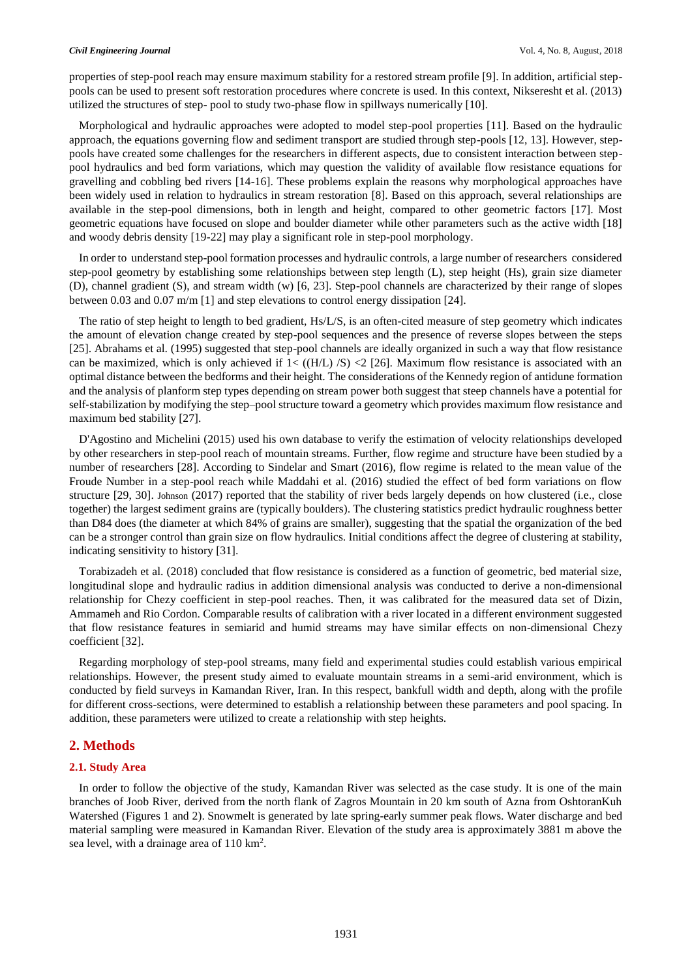properties of step-pool reach may ensure maximum stability for a restored stream profile [9]. In addition, artificial steppools can be used to present soft restoration procedures where concrete is used. In this context, Nikseresht et al. (2013) utilized the structures of step- pool to study two-phase flow in spillways numerically [10].

Morphological and hydraulic approaches were adopted to model step-pool properties [11]. Based on the hydraulic approach, the equations governing flow and sediment transport are studied through step-pools [12, 13]. However, steppools have created some challenges for the researchers in different aspects, due to consistent interaction between steppool hydraulics and bed form variations, which may question the validity of available flow resistance equations for gravelling and cobbling bed rivers [14-16]. These problems explain the reasons why morphological approaches have been widely used in relation to hydraulics in stream restoration [8]. Based on this approach, several relationships are available in the step-pool dimensions, both in length and height, compared to other geometric factors [17]. Most geometric equations have focused on slope and boulder diameter while other parameters such as the active width [18] and woody debris density [19-22] may play a significant role in step-pool morphology.

In order to understand step-pool formation processes and hydraulic controls, a large number of researchers considered step-pool geometry by establishing some relationships between step length (L), step height (Hs), grain size diameter (D), channel gradient (S), and stream width (w) [6, 23]. Step-pool channels are characterized by their range of slopes between 0.03 and 0.07 m/m [1] and step elevations to control energy dissipation [24].

The ratio of step height to length to bed gradient, Hs/L/S, is an often-cited measure of step geometry which indicates the amount of elevation change created by step-pool sequences and the presence of reverse slopes between the steps [25]. Abrahams et al. (1995) suggested that step-pool channels are ideally organized in such a way that flow resistance can be maximized, which is only achieved if  $1 < ((H/L) / S) < 2$  [26]. Maximum flow resistance is associated with an optimal distance between the bedforms and their height. The considerations of the Kennedy region of antidune formation and the analysis of planform step types depending on stream power both suggest that steep channels have a potential for self-stabilization by modifying the step–pool structure toward a geometry which provides maximum flow resistance and maximum bed stability [27].

D'Agostino and Michelini (2015) used his own database to verify the estimation of velocity relationships developed by other researchers in step-pool reach of mountain streams. Further, flow regime and structure have been studied by a number of researchers [28]. According to Sindelar and Smart (2016), flow regime is related to the mean value of the Froude Number in a step-pool reach while Maddahi et al. (2016) studied the effect of bed form variations on flow structure [29, 30]. [Johnson](https://agupubs.onlinelibrary.wiley.com/action/doSearch?ContribAuthorStored=Johnson%2C+Joel+P+L) (2017) reported that the stability of river beds largely depends on how clustered (i.e., close together) the largest sediment grains are (typically boulders). The clustering statistics predict hydraulic roughness better than D84 does (the diameter at which 84% of grains are smaller), suggesting that the spatial the organization of the bed can be a stronger control than grain size on flow hydraulics. Initial conditions affect the degree of clustering at stability, indicating sensitivity to history [31].

Torabizadeh et al. (2018) concluded that flow resistance is considered as a function of geometric, bed material size, longitudinal slope and hydraulic radius in addition dimensional analysis was conducted to derive a non-dimensional relationship for Chezy coefficient in step-pool reaches. Then, it was calibrated for the measured data set of Dizin, Ammameh and Rio Cordon. Comparable results of calibration with a river located in a different environment suggested that flow resistance features in semiarid and humid streams may have similar effects on non-dimensional Chezy coefficient [32].

Regarding morphology of step-pool streams, many field and experimental studies could establish various empirical relationships. However, the present study aimed to evaluate mountain streams in a semi-arid environment, which is conducted by field surveys in Kamandan River, Iran. In this respect, bankfull width and depth, along with the profile for different cross-sections, were determined to establish a relationship between these parameters and pool spacing. In addition, these parameters were utilized to create a relationship with step heights.

#### **2. Methods**

#### **2.1. Study Area**

In order to follow the objective of the study, Kamandan River was selected as the case study. It is one of the main branches of Joob River, derived from the north flank of Zagros Mountain in 20 km south of Azna from OshtoranKuh Watershed (Figures 1 and 2). Snowmelt is generated by late spring-early summer peak flows. Water discharge and bed material sampling were measured in Kamandan River. Elevation of the study area is approximately 3881 m above the sea level, with a drainage area of 110 km<sup>2</sup>.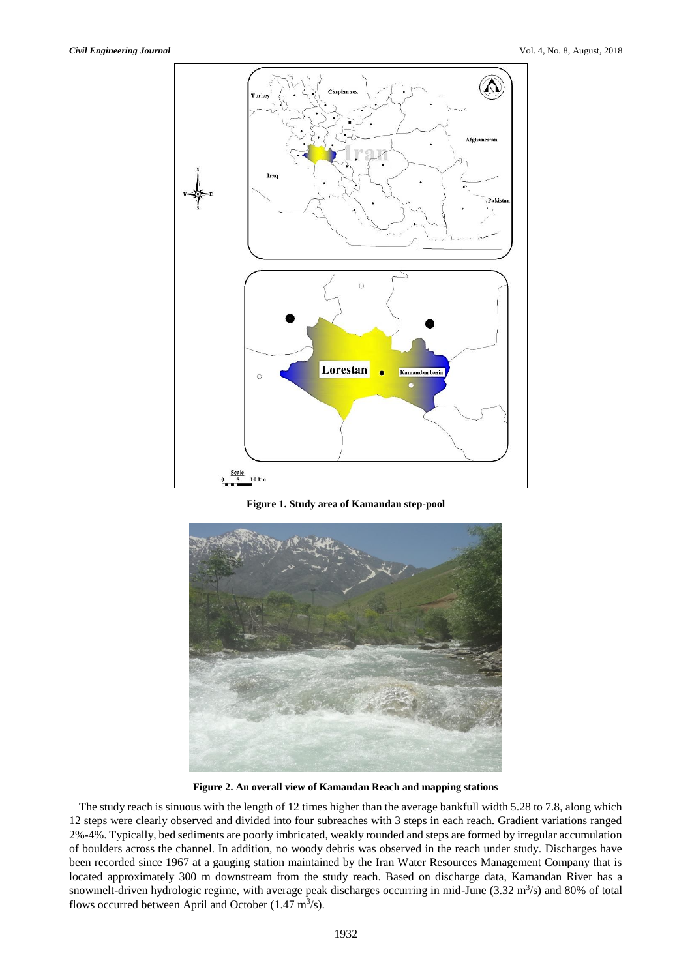

**Figure 1. Study area of Kamandan step-pool**



**Figure 2. An overall view of Kamandan Reach and mapping stations**

The study reach is sinuous with the length of 12 times higher than the average bankfull width 5.28 to 7.8, along which 12 steps were clearly observed and divided into four subreaches with 3 steps in each reach. Gradient variations ranged 2%-4%. Typically, bed sediments are poorly imbricated, weakly rounded and steps are formed by irregular accumulation of boulders across the channel. In addition, no woody debris was observed in the reach under study. Discharges have been recorded since 1967 at a gauging station maintained by the Iran Water Resources Management Company that is located approximately 300 m downstream from the study reach. Based on discharge data, Kamandan River has a snowmelt-driven hydrologic regime, with average peak discharges occurring in mid-June  $(3.32 \text{ m}^3/\text{s})$  and 80% of total flows occurred between April and October  $(1.47 \text{ m}^3/\text{s})$ .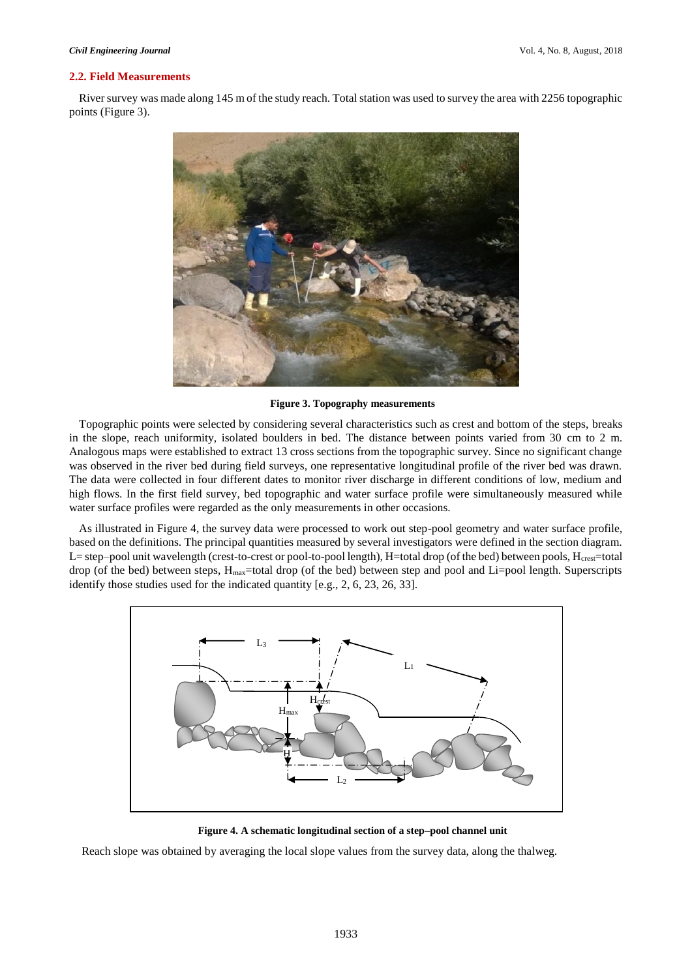#### **2.2. Field Measurements**

River survey was made along 145 m of the study reach. Total station was used to survey the area with 2256 topographic points (Figure 3).



**Figure 3. Topography measurements**

Topographic points were selected by considering several characteristics such as crest and bottom of the steps, breaks in the slope, reach uniformity, isolated boulders in bed. The distance between points varied from 30 cm to 2 m. Analogous maps were established to extract 13 cross sections from the topographic survey. Since no significant change was observed in the river bed during field surveys, one representative longitudinal profile of the river bed was drawn. The data were collected in four different dates to monitor river discharge in different conditions of low, medium and high flows. In the first field survey, bed topographic and water surface profile were simultaneously measured while water surface profiles were regarded as the only measurements in other occasions.

As illustrated in Figure 4, the survey data were processed to work out step-pool geometry and water surface profile, based on the definitions. The principal quantities measured by several investigators were defined in the section diagram. L= step–pool unit wavelength (crest-to-crest or pool-to-pool length), H=total drop (of the bed) between pools,  $H_{\text{crest}}$ =total drop (of the bed) between steps,  $H_{\text{max}}$ =total drop (of the bed) between step and pool and Li=pool length. Superscripts identify those studies used for the indicated quantity [e.g., 2, 6, 23, 26, 33].



**Figure 4. A schematic longitudinal section of a step–pool channel unit**

Reach slope was obtained by averaging the local slope values from the survey data, along the thalweg.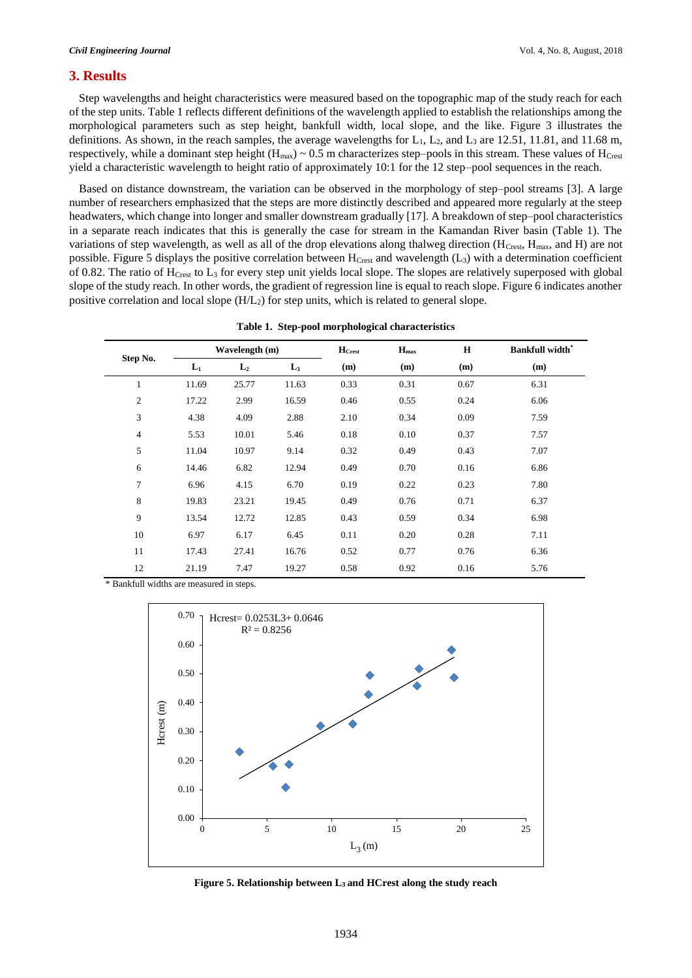#### **3. Results**

Step wavelengths and height characteristics were measured based on the topographic map of the study reach for each of the step units. Table 1 reflects different definitions of the wavelength applied to establish the relationships among the morphological parameters such as step height, bankfull width, local slope, and the like. Figure 3 illustrates the definitions. As shown, in the reach samples, the average wavelengths for  $L_1$ ,  $L_2$ , and  $L_3$  are 12.51, 11.81, and 11.68 m, respectively, while a dominant step height ( $H_{\text{max}}$ ) ~ 0.5 m characterizes step–pools in this stream. These values of  $H_{\text{Crest}}$ yield a characteristic wavelength to height ratio of approximately 10:1 for the 12 step–pool sequences in the reach.

Based on distance downstream, the variation can be observed in the morphology of step–pool streams [3]. A large number of researchers emphasized that the steps are more distinctly described and appeared more regularly at the steep headwaters, which change into longer and smaller downstream gradually [17]. A breakdown of step–pool characteristics in a separate reach indicates that this is generally the case for stream in the Kamandan River basin (Table 1). The variations of step wavelength, as well as all of the drop elevations along thalweg direction (HCrest, Hmax, and H) are not possible. Figure 5 displays the positive correlation between  $H_{Crest}$  and wavelength ( $L_3$ ) with a determination coefficient of 0.82. The ratio of HCrest to L<sup>3</sup> for every step unit yields local slope. The slopes are relatively superposed with global slope of the study reach. In other words, the gradient of regression line is equal to reach slope. Figure 6 indicates another positive correlation and local slope  $(H/L<sub>2</sub>)$  for step units, which is related to general slope.

|                |       | Wavelength (m) |                | $H_{Crest}$ | $H_{\text{max}}$ | H    | <b>Bankfull width*</b> |
|----------------|-------|----------------|----------------|-------------|------------------|------|------------------------|
| Step No.       | $L_1$ | L <sub>2</sub> | $\mathbf{L}_3$ | (m)         | (m)              | (m)  | (m)                    |
| 1              | 11.69 | 25.77          | 11.63          | 0.33        | 0.31             | 0.67 | 6.31                   |
| $\mathfrak{2}$ | 17.22 | 2.99           | 16.59          | 0.46        | 0.55             | 0.24 | 6.06                   |
| 3              | 4.38  | 4.09           | 2.88           | 2.10        | 0.34             | 0.09 | 7.59                   |
| 4              | 5.53  | 10.01          | 5.46           | 0.18        | 0.10             | 0.37 | 7.57                   |
| 5              | 11.04 | 10.97          | 9.14           | 0.32        | 0.49             | 0.43 | 7.07                   |
| 6              | 14.46 | 6.82           | 12.94          | 0.49        | 0.70             | 0.16 | 6.86                   |
| 7              | 6.96  | 4.15           | 6.70           | 0.19        | 0.22             | 0.23 | 7.80                   |
| 8              | 19.83 | 23.21          | 19.45          | 0.49        | 0.76             | 0.71 | 6.37                   |
| 9              | 13.54 | 12.72          | 12.85          | 0.43        | 0.59             | 0.34 | 6.98                   |
| 10             | 6.97  | 6.17           | 6.45           | 0.11        | 0.20             | 0.28 | 7.11                   |
| 11             | 17.43 | 27.41          | 16.76          | 0.52        | 0.77             | 0.76 | 6.36                   |
| 12             | 21.19 | 7.47           | 19.27          | 0.58        | 0.92             | 0.16 | 5.76                   |

|  |  | Table 1. Step-pool morphological characteristics |  |
|--|--|--------------------------------------------------|--|
|--|--|--------------------------------------------------|--|

\* Bankfull widths are measured in steps.



**Figure 5. Relationship between L3 and HCrest along the study reach**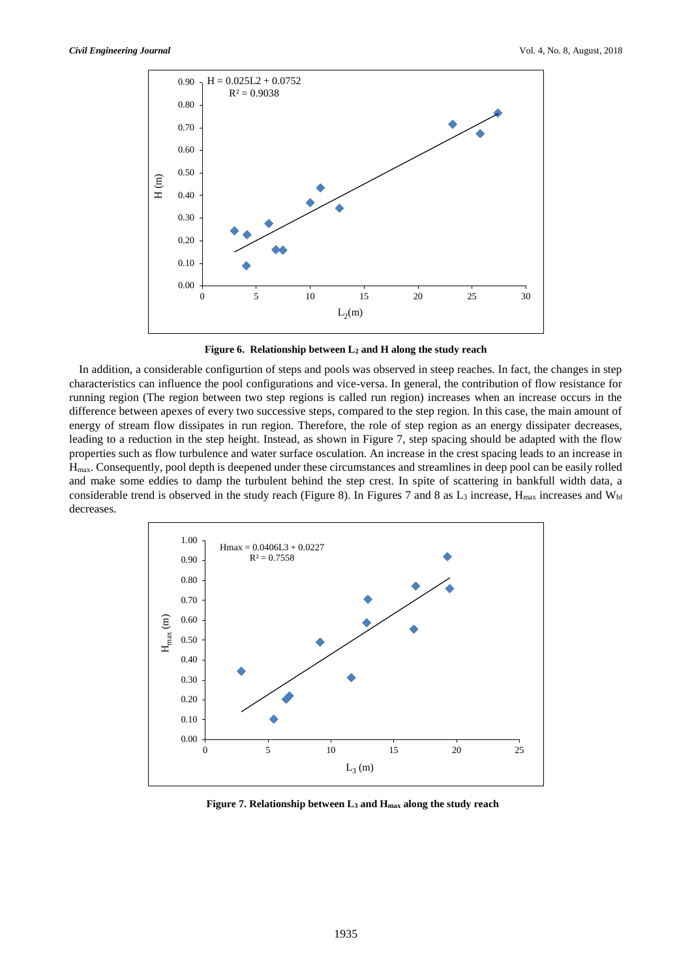

**Figure 6. Relationship between L<sup>2</sup> and H along the study reach**

In addition, a considerable configurtion of steps and pools was observed in steep reaches. In fact, the changes in step characteristics can influence the pool configurations and vice-versa. In general, the contribution of flow resistance for running region (The region between two step regions is called run region) increases when an increase occurs in the difference between apexes of every two successive steps, compared to the step region. In this case, the main amount of energy of stream flow dissipates in run region. Therefore, the role of step region as an energy dissipater decreases, leading to a reduction in the step height. Instead, as shown in Figure 7, step spacing should be adapted with the flow properties such as flow turbulence and water surface osculation. An increase in the crest spacing leads to an increase in Hmax. Consequently, pool depth is deepened under these circumstances and streamlines in deep pool can be easily rolled and make some eddies to damp the turbulent behind the step crest. In spite of scattering in bankfull width data, a considerable trend is observed in the study reach (Figure 8). In Figures 7 and 8 as  $L_3$  increase,  $H_{\text{max}}$  increases and  $W_{\text{bf}}$ decreases.



**Figure 7. Relationship between L<sup>3</sup> and Hmax along the study reach**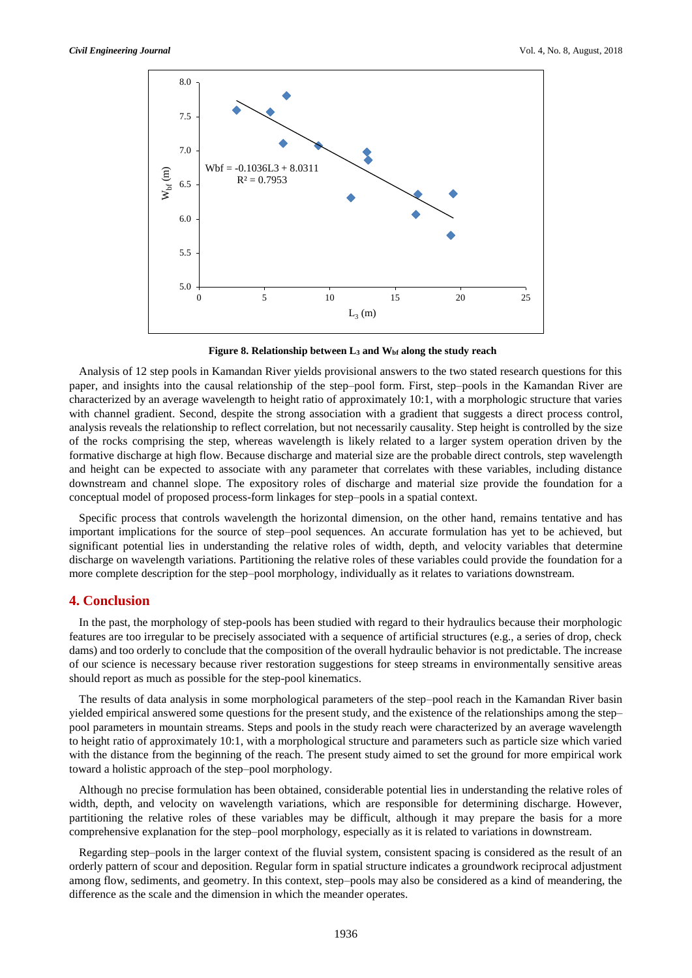

**Figure 8. Relationship between L<sup>3</sup> and Wbf along the study reach**

Analysis of 12 step pools in Kamandan River yields provisional answers to the two stated research questions for this paper, and insights into the causal relationship of the step–pool form. First, step–pools in the Kamandan River are characterized by an average wavelength to height ratio of approximately 10:1, with a morphologic structure that varies with channel gradient. Second, despite the strong association with a gradient that suggests a direct process control, analysis reveals the relationship to reflect correlation, but not necessarily causality. Step height is controlled by the size of the rocks comprising the step, whereas wavelength is likely related to a larger system operation driven by the formative discharge at high flow. Because discharge and material size are the probable direct controls, step wavelength and height can be expected to associate with any parameter that correlates with these variables, including distance downstream and channel slope. The expository roles of discharge and material size provide the foundation for a conceptual model of proposed process-form linkages for step–pools in a spatial context.

Specific process that controls wavelength the horizontal dimension, on the other hand, remains tentative and has important implications for the source of step–pool sequences. An accurate formulation has yet to be achieved, but significant potential lies in understanding the relative roles of width, depth, and velocity variables that determine discharge on wavelength variations. Partitioning the relative roles of these variables could provide the foundation for a more complete description for the step–pool morphology, individually as it relates to variations downstream.

#### **4. Conclusion**

In the past, the morphology of step-pools has been studied with regard to their hydraulics because their morphologic features are too irregular to be precisely associated with a sequence of artificial structures (e.g., a series of drop, check dams) and too orderly to conclude that the composition of the overall hydraulic behavior is not predictable. The increase of our science is necessary because river restoration suggestions for steep streams in environmentally sensitive areas should report as much as possible for the step-pool kinematics.

The results of data analysis in some morphological parameters of the step–pool reach in the Kamandan River basin yielded empirical answered some questions for the present study, and the existence of the relationships among the step– pool parameters in mountain streams. Steps and pools in the study reach were characterized by an average wavelength to height ratio of approximately 10:1, with a morphological structure and parameters such as particle size which varied with the distance from the beginning of the reach. The present study aimed to set the ground for more empirical work toward a holistic approach of the step–pool morphology.

Although no precise formulation has been obtained, considerable potential lies in understanding the relative roles of width, depth, and velocity on wavelength variations, which are responsible for determining discharge. However, partitioning the relative roles of these variables may be difficult, although it may prepare the basis for a more comprehensive explanation for the step–pool morphology, especially as it is related to variations in downstream.

Regarding step–pools in the larger context of the fluvial system, consistent spacing is considered as the result of an orderly pattern of scour and deposition. Regular form in spatial structure indicates a groundwork reciprocal adjustment among flow, sediments, and geometry. In this context, step–pools may also be considered as a kind of meandering, the difference as the scale and the dimension in which the meander operates.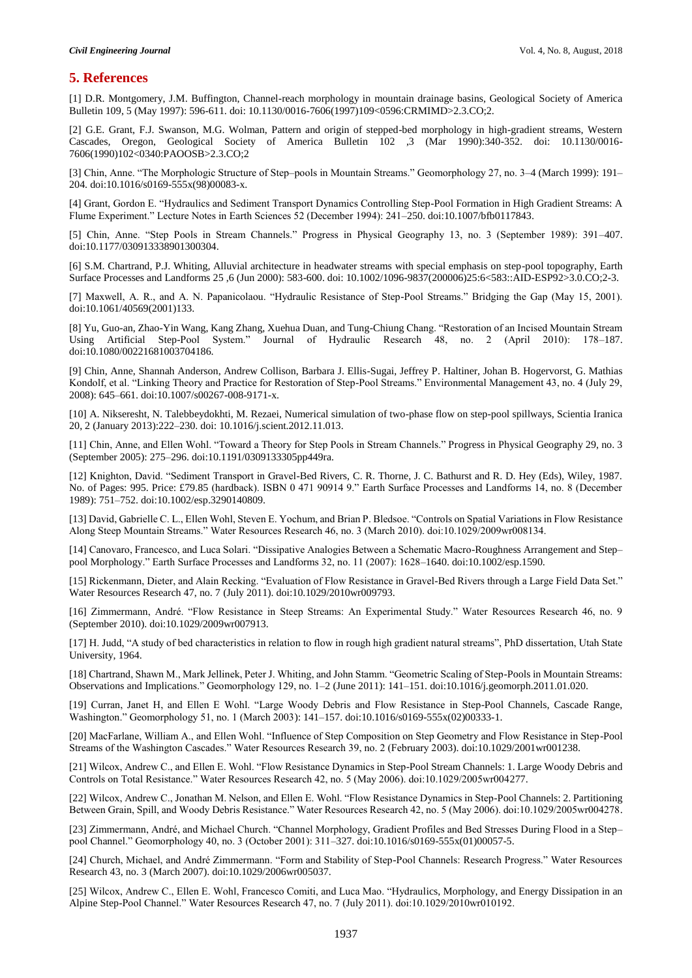#### **5. References**

[1] D.R. Montgomery, J.M. Buffington, Channel-reach morphology in mountain drainage basins, Geological Society of America Bulletin 109, 5 (May 1997): 596-611. doi: 10.1130/0016-7606(1997)109<0596:CRMIMD>2.3.CO;2.

[2] G.E. Grant, F.J. Swanson, M.G. Wolman, Pattern and origin of stepped-bed morphology in high-gradient streams, Western Cascades, Oregon, Geological Society of America Bulletin 102 ,3 (Mar 1990):340-352. doi: 10.1130/0016- 7606(1990)102<0340:PAOOSB>2.3.CO;2

[3] Chin, Anne. "The Morphologic Structure of Step–pools in Mountain Streams." Geomorphology 27, no. 3–4 (March 1999): 191– 204. doi:10.1016/s0169-555x(98)00083-x.

[4] Grant, Gordon E. "Hydraulics and Sediment Transport Dynamics Controlling Step-Pool Formation in High Gradient Streams: A Flume Experiment." Lecture Notes in Earth Sciences 52 (December 1994): 241–250. doi:10.1007/bfb0117843.

[5] Chin, Anne. "Step Pools in Stream Channels." Progress in Physical Geography 13, no. 3 (September 1989): 391–407. doi:10.1177/030913338901300304.

[6] S.M. Chartrand, P.J. Whiting, Alluvial architecture in headwater streams with special emphasis on step-pool topography, Earth Surface Processes and Landforms 25 ,6 (Jun 2000): 583-600. doi: 10.1002/1096-9837(200006)25:6<583::AID-ESP92>3.0.CO;2-3.

[7] Maxwell, A. R., and A. N. Papanicolaou. "Hydraulic Resistance of Step-Pool Streams." Bridging the Gap (May 15, 2001). doi:10.1061/40569(2001)133.

[8] Yu, Guo-an, Zhao-Yin Wang, Kang Zhang, Xuehua Duan, and Tung-Chiung Chang. "Restoration of an Incised Mountain Stream Using Artificial Step-Pool System." Journal of Hydraulic Research 48, no. 2 (April 2010): 178–187. doi:10.1080/00221681003704186.

[9] Chin, Anne, Shannah Anderson, Andrew Collison, Barbara J. Ellis-Sugai, Jeffrey P. Haltiner, Johan B. Hogervorst, G. Mathias Kondolf, et al. "Linking Theory and Practice for Restoration of Step-Pool Streams." Environmental Management 43, no. 4 (July 29, 2008): 645–661. doi:10.1007/s00267-008-9171-x.

[10] A. Nikseresht, N. Talebbeydokhti, M. Rezaei, Numerical simulation of two-phase flow on step-pool spillways, Scientia Iranica 20, 2 (January 2013):222–230. doi: 10.1016/j.scient.2012.11.013.

[11] Chin, Anne, and Ellen Wohl. "Toward a Theory for Step Pools in Stream Channels." Progress in Physical Geography 29, no. 3 (September 2005): 275–296. doi:10.1191/0309133305pp449ra.

[12] Knighton, David. "Sediment Transport in Gravel-Bed Rivers, C. R. Thorne, J. C. Bathurst and R. D. Hey (Eds), Wiley, 1987. No. of Pages: 995. Price: £79.85 (hardback). ISBN 0 471 90914 9." Earth Surface Processes and Landforms 14, no. 8 (December 1989): 751–752. doi:10.1002/esp.3290140809.

[13] David, Gabrielle C. L., Ellen Wohl, Steven E. Yochum, and Brian P. Bledsoe. "Controls on Spatial Variations in Flow Resistance Along Steep Mountain Streams." Water Resources Research 46, no. 3 (March 2010). doi:10.1029/2009wr008134.

[14] Canovaro, Francesco, and Luca Solari. "Dissipative Analogies Between a Schematic Macro-Roughness Arrangement and Step– pool Morphology." Earth Surface Processes and Landforms 32, no. 11 (2007): 1628–1640. doi:10.1002/esp.1590.

[15] Rickenmann, Dieter, and Alain Recking. "Evaluation of Flow Resistance in Gravel-Bed Rivers through a Large Field Data Set." Water Resources Research 47, no. 7 (July 2011). doi:10.1029/2010wr009793.

[16] Zimmermann, André. "Flow Resistance in Steep Streams: An Experimental Study." Water Resources Research 46, no. 9 (September 2010). doi:10.1029/2009wr007913.

[17] H. Judd, "A study of bed characteristics in relation to flow in rough high gradient natural streams", PhD dissertation, Utah State University, 1964.

[18] Chartrand, Shawn M., Mark Jellinek, Peter J. Whiting, and John Stamm. "Geometric Scaling of Step-Pools in Mountain Streams: Observations and Implications." Geomorphology 129, no. 1–2 (June 2011): 141–151. doi:10.1016/j.geomorph.2011.01.020.

[19] Curran, Janet H, and Ellen E Wohl. "Large Woody Debris and Flow Resistance in Step-Pool Channels, Cascade Range, Washington." Geomorphology 51, no. 1 (March 2003): 141–157. doi:10.1016/s0169-555x(02)00333-1.

[20] MacFarlane, William A., and Ellen Wohl. "Influence of Step Composition on Step Geometry and Flow Resistance in Step-Pool Streams of the Washington Cascades." Water Resources Research 39, no. 2 (February 2003). doi:10.1029/2001wr001238.

[21] Wilcox, Andrew C., and Ellen E. Wohl. "Flow Resistance Dynamics in Step-Pool Stream Channels: 1. Large Woody Debris and Controls on Total Resistance." Water Resources Research 42, no. 5 (May 2006). doi:10.1029/2005wr004277.

[22] Wilcox, Andrew C., Jonathan M. Nelson, and Ellen E. Wohl. "Flow Resistance Dynamics in Step-Pool Channels: 2. Partitioning Between Grain, Spill, and Woody Debris Resistance." Water Resources Research 42, no. 5 (May 2006). doi:10.1029/2005wr004278.

[23] Zimmermann, André, and Michael Church. "Channel Morphology, Gradient Profiles and Bed Stresses During Flood in a Step– pool Channel." Geomorphology 40, no. 3 (October 2001): 311–327. doi:10.1016/s0169-555x(01)00057-5.

[24] Church, Michael, and André Zimmermann. "Form and Stability of Step-Pool Channels: Research Progress." Water Resources Research 43, no. 3 (March 2007). doi:10.1029/2006wr005037.

[25] Wilcox, Andrew C., Ellen E. Wohl, Francesco Comiti, and Luca Mao. "Hydraulics, Morphology, and Energy Dissipation in an Alpine Step-Pool Channel." Water Resources Research 47, no. 7 (July 2011). doi:10.1029/2010wr010192.